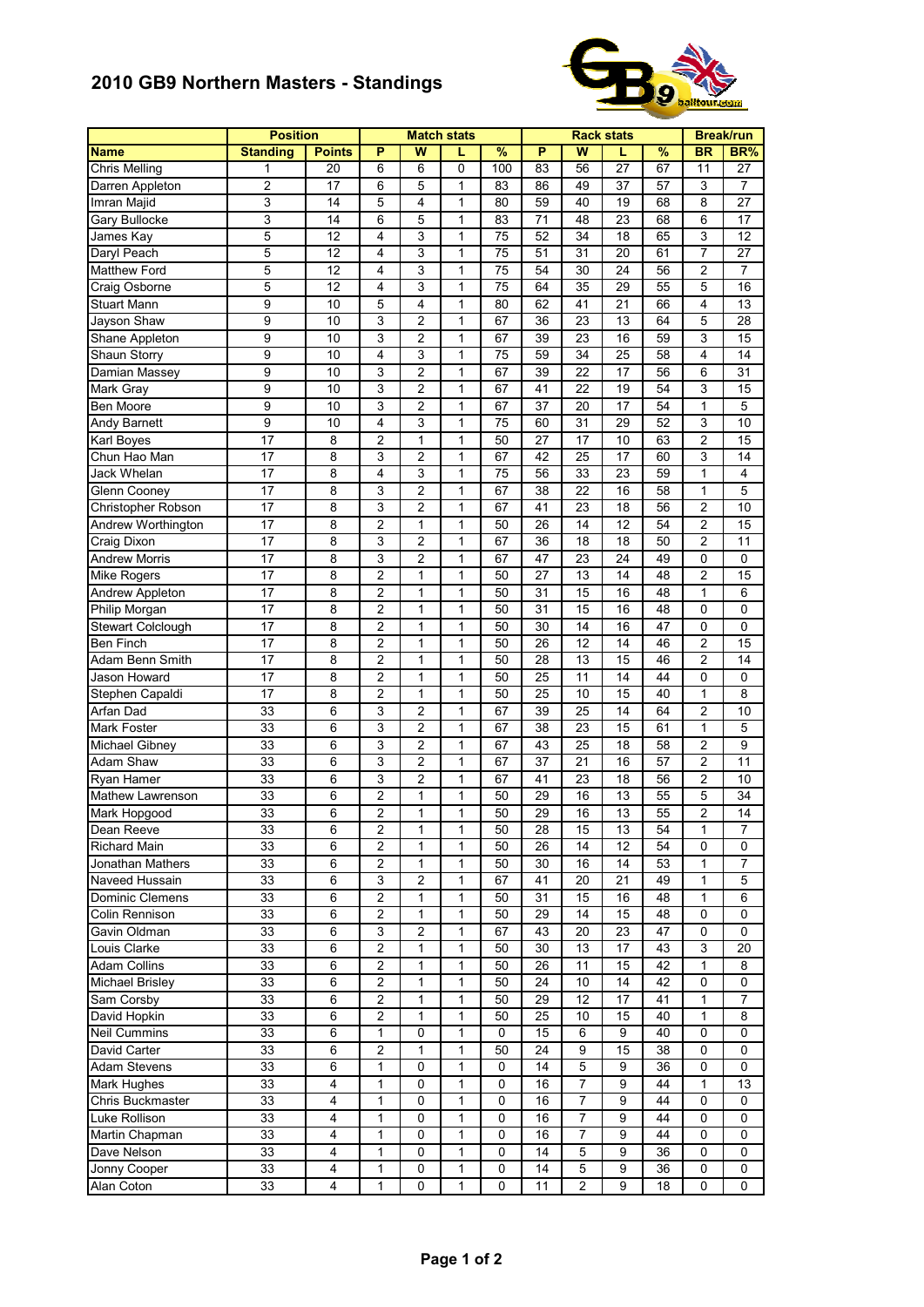## **2010 GB9 Northern Masters - Standings**



|                          | <b>Position</b>  |                 |                         |                         | <b>Match stats</b> |                 |                 | Break/run                        |                 |               |                |  |
|--------------------------|------------------|-----------------|-------------------------|-------------------------|--------------------|-----------------|-----------------|----------------------------------|-----------------|---------------|----------------|--|
| <b>Name</b>              | <b>Standing</b>  | <b>Points</b>   | P                       | $\overline{\mathsf{w}}$ | L                  | $\frac{9}{6}$   | P               | W                                |                 | $\frac{9}{6}$ | BR             |  |
| Chris Melling            | 1                | 20              | 6                       | 6                       | 0                  | 100             | 83              | 56                               | 27              | 67            | 11             |  |
| Darren Appleton          | $\overline{c}$   | 17              | 6                       | 5                       | $\mathbf{1}$       | 83              | 86              | 49                               | 37              | 57            | 3              |  |
| Imran Majid              | 3                | 14              | 5                       | 4                       | 1                  | 80              | 59              | 40                               | 19              | 68            | 8              |  |
| Gary Bullocke            | 3                | 14              | 6                       | 5                       | 1                  | 83              | 71              | 48                               | 23              | 68            | 6              |  |
| James Kay                | $\overline{5}$   | 12              | 4                       | 3                       | $\mathbf{1}$       | 75              | 52              | 34                               | 18              | 65            | 3              |  |
| Daryl Peach              | 5                | 12              | 4                       | $\overline{3}$          | 1                  | $\overline{75}$ | 51              | 31                               | 20              | 61            | $\overline{7}$ |  |
| <b>Matthew Ford</b>      | 5                | 12              | 4                       | 3                       | $\mathbf{1}$       | 75              | 54              | 30                               | 24              | 56            | 2              |  |
| Craig Osborne            | 5                | $\overline{12}$ | 4                       | 3                       | $\mathbf{1}$       | $\overline{75}$ | 64              | $\overline{35}$                  | 29              | 55            | 5              |  |
| <b>Stuart Mann</b>       | 9                | 10              | 5                       | 4                       | 1                  | 80              | 62              | 41                               | 21              | 66            | 4              |  |
| Jayson Shaw              | 9                | 10              | 3                       | 2                       | 1                  | 67              | 36              | 23                               | 13              | 64            | 5              |  |
| Shane Appleton           | $\overline{9}$   | 10              | 3                       | $\overline{2}$          | $\mathbf{1}$       | 67              | 39              | 23                               | 16              | 59            | 3              |  |
| Shaun Storry             | 9                | 10              | 4                       | 3                       | $\mathbf{1}$       | 75              | 59              | 34                               | 25              | 58            | 4              |  |
| Damian Massey            | $\boldsymbol{9}$ | 10              | 3                       | $\overline{c}$          | $\mathbf{1}$       | 67              | 39              | 22                               | 17              | 56            | 6              |  |
| Mark Gray                | 9                | 10              | 3                       | 2                       | 1                  | 67              | 41              | 22                               | 19              | 54            | 3              |  |
| Ben Moore                | $\boldsymbol{9}$ | 10              | 3                       | 2                       | 1                  | 67              | 37              | 20                               | 17              | 54            | 1              |  |
| Andy Barnett             | $\overline{9}$   | 10              | 4                       | $\overline{3}$          | $\mathbf{1}$       | 75              | 60              | 31                               | 29              | 52            | $\overline{3}$ |  |
| Karl Boyes               | 17               | 8               | $\overline{c}$          | $\mathbf{1}$            | 1                  | 50              | 27              | 17                               | 10              | 63            | $\overline{c}$ |  |
| Chun Hao Man             | 17               | 8               | 3                       | $\overline{2}$          | 1                  | 67              | 42              | 25                               | 17              | 60            | 3              |  |
| Jack Whelan              | 17               | 8               | $\overline{4}$          | 3                       | $\mathbf{1}$       | 75              | 56              | 33                               | 23              | 59            | $\mathbf 1$    |  |
| Glenn Cooney             | 17               | 8               | 3                       | $\overline{\mathbf{c}}$ | 1                  | 67              | 38              | 22                               | 16              | 58            | 1              |  |
| Christopher Robson       | 17               | 8               | 3                       | $\overline{c}$          | $\mathbf{1}$       | 67              | 41              | 23                               | 18              | 56            | 2              |  |
| Andrew Worthington       | 17               | 8               | $\overline{2}$          | $\mathbf{1}$            | 1                  | 50              | 26              | 14                               | 12              | 54            | $\overline{c}$ |  |
| <b>Craig Dixon</b>       | $\overline{17}$  | 8               | 3                       | $\overline{2}$          | 1                  | 67              | 36              | $\overline{18}$                  | $\overline{18}$ | 50            | $\overline{2}$ |  |
| <b>Andrew Morris</b>     | 17               | 8               | 3                       | $\overline{c}$          | $\mathbf{1}$       | 67              | 47              | 23                               | 24              | 49            | 0              |  |
| Mike Rogers              | 17               | 8               | $\overline{c}$          | $\mathbf{1}$            | $\mathbf{1}$       | 50              | 27              | 13                               | 14              | 48            | $\overline{c}$ |  |
| <b>Andrew Appleton</b>   | 17               | 8               | $\overline{c}$          | 1                       | 1                  | 50              | 31              | 15                               | 16              | 48            | 1              |  |
| Philip Morgan            | 17               | 8               | $\overline{c}$          | 1                       | 1                  | 50              | 31              | 15                               | 16              | 48            | 0              |  |
| <b>Stewart Colclough</b> | 17               | 8               | $\overline{2}$          | $\mathbf{1}$            | 1                  | 50              | 30              | 14                               | 16              | 47            | 0              |  |
| Ben Finch                | 17               | 8               | $\overline{c}$          | 1                       | $\mathbf{1}$       | 50              | 26              | 12                               | 14              | 46            | $\overline{c}$ |  |
| Adam Benn Smith          | 17               | 8               | $\overline{c}$          | $\mathbf{1}$            | $\mathbf{1}$       | 50              | 28              | 13                               | 15              | 46            | $\overline{c}$ |  |
| Jason Howard             | 17               | 8               | 2                       | $\mathbf{1}$            | 1                  | 50              | 25              | 11                               | 14              | 44            | 0              |  |
| Stephen Capaldi          | 17               | 8               | 2                       | 1                       | 1                  | 50              | $\overline{25}$ | 10                               | 15              | 40            | 1              |  |
| Arfan Dad                | 33               | 6               | $\overline{3}$          | $\overline{c}$          | $\mathbf{1}$       | 67              | 39              | 25                               | 14              | 64            | $\overline{c}$ |  |
| Mark Foster              | 33               | 6               | 3                       | $\overline{c}$          | 1                  | 67              | 38              | 23                               | 15              | 61            | $\mathbf 1$    |  |
| Michael Gibney           | 33               | 6               | 3                       | $\overline{c}$          | $\mathbf{1}$       | 67              | 43              | 25                               | 18              | 58            | $\overline{c}$ |  |
| Adam Shaw                | 33               | 6               | 3                       | $\overline{\mathbf{c}}$ | $\mathbf{1}$       | 67              | 37              | 21                               | 16              | 57            | $\overline{c}$ |  |
| Ryan Hamer               | 33               | 6               | $\overline{3}$          | $\overline{c}$          | 1                  | 67              | 41              | 23                               | 18              | 56            | 2              |  |
| Mathew Lawrenson         | 33               | 6               | $\overline{c}$          | 1                       | $\mathbf{1}$       | 50              | 29              | 16                               | 13              | 55            | 5              |  |
| Mark Hopgood             | 33               | 6               | $\overline{c}$          | $\mathbf{1}$            | 1                  | 50              | 29              | 16                               | 13              | 55            | $\overline{2}$ |  |
| Dean Reeve               | 33               | 6               | 2                       | 1                       | 1                  | 50              | 28              | 15                               | 13              | 54            | 1              |  |
| Richard Main             | 33               | 6               | 2                       | $\mathbf{1}$            | $\mathbf{1}$       | 50              | 26              | 14                               | 12              | 54            | 0              |  |
| Jonathan Mathers         | 33               | 6               | $\overline{2}$          | 1                       | 1                  | 50              | 30              | 16                               | 14              | 53            | 1              |  |
| Naveed Hussain           | 33               | 6               | 3                       | 2                       | 1                  | 67              | 41              | 20                               | 21              | 49            | 1              |  |
| Dominic Clemens          | 33               | 6               | $\overline{c}$          | 1                       | 1                  | 50              | 31              | 15                               | 16              | 48            | 1              |  |
| Colin Rennison           | 33               | 6               | 2                       | $\mathbf{1}$            | $\mathbf{1}$       | 50              | 29              | 14                               | 15              | 48            | 0              |  |
| Gavin Oldman             | 33               | 6               | 3                       | $\overline{c}$          | $\mathbf{1}$       | 67              | 43              | 20                               | 23              | 47            | 0              |  |
| Louis Clarke             | 33               | 6               | $\overline{c}$          | 1                       | 1                  | 50              | 30              | 13                               | 17              | 43            | 3              |  |
| Adam Collins             | 33               | 6               | $\overline{c}$          | 1                       | 1                  | 50              | 26              | 11                               | 15              | 42            | 1              |  |
| <b>Michael Brisley</b>   | 33               | 6               | $\overline{\mathbf{c}}$ | 1                       | 1                  | 50              | 24              | 10                               | 14              | 42            | 0              |  |
| Sam Corsby               | 33               | 6               | $\overline{c}$          | $\mathbf{1}$            | $\mathbf{1}$       | 50              | 29              | 12                               | 17              | 41            | 1              |  |
| David Hopkin             | 33               | 6               | $\overline{2}$          | $\mathbf{1}$            | $\mathbf{1}$       | 50              | 25              | 10                               | 15              | 40            | $\mathbf{1}$   |  |
| Neil Cummins             | 33               | 6               | 1                       | 0                       | 1                  | $\mathbf 0$     | 15              | 6                                | 9               | 40            | 0              |  |
| David Carter             | 33               | 6               | $\overline{c}$          | 1                       | 1                  | 50              | 24              | 9                                | 15              | 38            | 0              |  |
|                          |                  | 6               | 1                       | 0                       |                    | $\mathbf 0$     | 14              | 5                                | 9               | 36            | 0              |  |
| Adam Stevens             | 33               |                 |                         | $\pmb{0}$               | 1                  |                 | 16              |                                  | 9               | 44            |                |  |
| Mark Hughes              | 33               | 4               | 1                       |                         | 1                  | 0               |                 | 7                                |                 |               | 1              |  |
| Chris Buckmaster         | 33               | 4               | 1                       | 0                       | $\mathbf{1}$       | 0               | 16              | $\overline{7}$<br>$\overline{7}$ | 9               | 44            | 0              |  |
| Luke Rollison            | 33               | 4               | $\mathbf{1}$            | 0                       | 1                  | 0               | 16              |                                  | 9               | 44            | 0              |  |
| Martin Chapman           | 33               | 4               | $\mathbf{1}$            | 0                       | 1                  | $\mathbf 0$     | 16              | $\overline{7}$                   | 9               | 44            | 0              |  |
| Dave Nelson              | 33               | 4               | 1                       | 0                       | 1                  | 0               | 14              | 5                                | 9               | 36            | 0              |  |
| Jonny Cooper             | 33               | 4               | 1                       | 0                       | 1                  | 0               | 14              | 5                                | 9               | 36            | 0              |  |
| Alan Coton               | 33               | 4               | 1                       | 0                       | 1                  | 0               | 11              | $\overline{2}$                   | 9               | 18            | 0              |  |